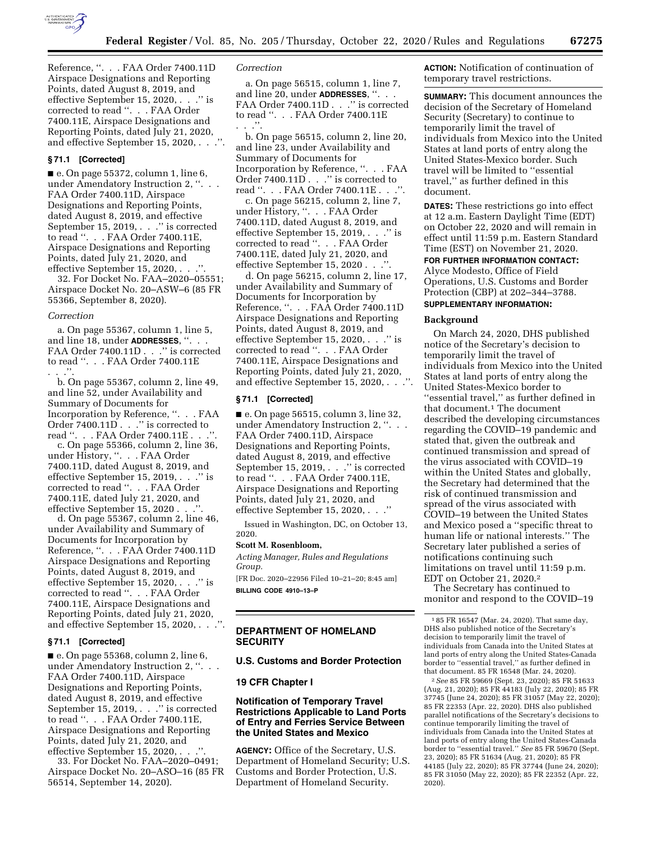

Reference, ''. . . FAA Order 7400.11D Airspace Designations and Reporting Points, dated August 8, 2019, and effective September 15, 2020, . . .'' is corrected to read ''. . . FAA Order 7400.11E, Airspace Designations and Reporting Points, dated July 21, 2020, and effective September 15, 2020, . . .''.

### **§ 71.1 [Corrected]**

 $\blacksquare$  e. On page 55372, column 1, line 6, under Amendatory Instruction 2, ''. . . FAA Order 7400.11D, Airspace Designations and Reporting Points, dated August 8, 2019, and effective September 15, 2019, . . ." is corrected to read ''. . . FAA Order 7400.11E, Airspace Designations and Reporting Points, dated July 21, 2020, and effective September 15, 2020, ...

32. For Docket No. FAA–2020–05551; Airspace Docket No. 20–ASW–6 (85 FR 55366, September 8, 2020).

#### *Correction*

a. On page 55367, column 1, line 5, and line 18, under **ADDRESSES**, ''. . . FAA Order 7400.11D . . ." is corrected to read ''. . . FAA Order 7400.11E . . .''.

b. On page 55367, column 2, line 49, and line 52, under Availability and Summary of Documents for Incorporation by Reference, ''. . . FAA Order 7400.11D . . .'' is corrected to read ''. . . FAA Order 7400.11E . . .''.

c. On page 55366, column 2, line 36, under History, ''. . . FAA Order 7400.11D, dated August 8, 2019, and effective September 15, 2019, . . .'' is corrected to read ''. . . FAA Order 7400.11E, dated July 21, 2020, and effective September 15, 2020 . . .''.

d. On page 55367, column 2, line 46, under Availability and Summary of Documents for Incorporation by Reference, ''. . . FAA Order 7400.11D Airspace Designations and Reporting Points, dated August 8, 2019, and effective September 15, 2020, . . .'' is corrected to read ''. . . FAA Order 7400.11E, Airspace Designations and Reporting Points, dated July 21, 2020, and effective September 15, 2020, . . .''.

# **§ 71.1 [Corrected]**

■ e. On page 55368, column 2, line 6, under Amendatory Instruction 2, ''. . . FAA Order 7400.11D, Airspace Designations and Reporting Points, dated August 8, 2019, and effective September 15, 2019, . . .'' is corrected to read ''. . . FAA Order 7400.11E, Airspace Designations and Reporting Points, dated July 21, 2020, and effective September 15, 2020, ...

33. For Docket No. FAA–2020–0491; Airspace Docket No. 20–ASO–16 (85 FR 56514, September 14, 2020).

### *Correction*

a. On page 56515, column 1, line 7, and line 20, under **ADDRESSES**, ''. . . FAA Order 7400.11D . . ." is corrected to read ''. . . FAA Order 7400.11E . . .''.

b. On page 56515, column 2, line 20, and line 23, under Availability and Summary of Documents for Incorporation by Reference, ''. . . FAA Order 7400.11D . . .'' is corrected to read ''. . . FAA Order 7400.11E . . .''.

c. On page 56215, column 2, line 7, under History, ''. . . FAA Order 7400.11D, dated August 8, 2019, and effective September 15, 2019, . . .'' is corrected to read ''. . . FAA Order 7400.11E, dated July 21, 2020, and effective September 15, 2020 . . .''.

d. On page 56215, column 2, line 17, under Availability and Summary of Documents for Incorporation by Reference, ''. . . FAA Order 7400.11D Airspace Designations and Reporting Points, dated August 8, 2019, and effective September 15, 2020, . . .'' is corrected to read ''. . . FAA Order 7400.11E, Airspace Designations and Reporting Points, dated July 21, 2020, and effective September 15, 2020, . . . . ".

# **§ 71.1 [Corrected]**

■ e. On page 56515, column 3, line 32, under Amendatory Instruction 2, ". . . FAA Order 7400.11D, Airspace Designations and Reporting Points, dated August 8, 2019, and effective September 15, 2019, . . ." is corrected to read ''. . . FAA Order 7400.11E, Airspace Designations and Reporting Points, dated July 21, 2020, and effective September 15, 2020, . . .''

Issued in Washington, DC, on October 13, 2020.

#### **Scott M. Rosenbloom,**

*Acting Manager, Rules and Regulations Group.* 

[FR Doc. 2020–22956 Filed 10–21–20; 8:45 am] **BILLING CODE 4910–13–P** 

## **DEPARTMENT OF HOMELAND SECURITY**

## **U.S. Customs and Border Protection**

# **19 CFR Chapter I**

# **Notification of Temporary Travel Restrictions Applicable to Land Ports of Entry and Ferries Service Between the United States and Mexico**

**AGENCY:** Office of the Secretary, U.S. Department of Homeland Security; U.S. Customs and Border Protection, U.S. Department of Homeland Security.

**ACTION:** Notification of continuation of temporary travel restrictions.

**SUMMARY:** This document announces the decision of the Secretary of Homeland Security (Secretary) to continue to temporarily limit the travel of individuals from Mexico into the United States at land ports of entry along the United States-Mexico border. Such travel will be limited to ''essential travel,'' as further defined in this document.

**DATES:** These restrictions go into effect at 12 a.m. Eastern Daylight Time (EDT) on October 22, 2020 and will remain in effect until 11:59 p.m. Eastern Standard Time (EST) on November 21, 2020.

**FOR FURTHER INFORMATION CONTACT:**  Alyce Modesto, Office of Field Operations, U.S. Customs and Border Protection (CBP) at 202–344–3788. **SUPPLEMENTARY INFORMATION:** 

#### **Background**

On March 24, 2020, DHS published notice of the Secretary's decision to temporarily limit the travel of individuals from Mexico into the United States at land ports of entry along the United States-Mexico border to ''essential travel,'' as further defined in that document.<sup>1</sup> The document described the developing circumstances regarding the COVID–19 pandemic and stated that, given the outbreak and continued transmission and spread of the virus associated with COVID–19 within the United States and globally, the Secretary had determined that the risk of continued transmission and spread of the virus associated with COVID–19 between the United States and Mexico posed a ''specific threat to human life or national interests.'' The Secretary later published a series of notifications continuing such limitations on travel until 11:59 p.m. EDT on October 21, 2020.2

The Secretary has continued to monitor and respond to the COVID–19

1 85 FR 16547 (Mar. 24, 2020). That same day, DHS also published notice of the Secretary's decision to temporarily limit the travel of individuals from Canada into the United States at land ports of entry along the United States-Canada border to ''essential travel,'' as further defined in that document. 85 FR 16548 (Mar. 24, 2020).

2*See* 85 FR 59669 (Sept. 23, 2020); 85 FR 51633 (Aug. 21, 2020); 85 FR 44183 (July 22, 2020); 85 FR 37745 (June 24, 2020); 85 FR 31057 (May 22, 2020); 85 FR 22353 (Apr. 22, 2020). DHS also published parallel notifications of the Secretary's decisions to continue temporarily limiting the travel of individuals from Canada into the United States at land ports of entry along the United States-Canada border to ''essential travel.'' *See* 85 FR 59670 (Sept. 23, 2020); 85 FR 51634 (Aug. 21, 2020); 85 FR 44185 (July 22, 2020); 85 FR 37744 (June 24, 2020); 85 FR 31050 (May 22, 2020); 85 FR 22352 (Apr. 22, 2020).